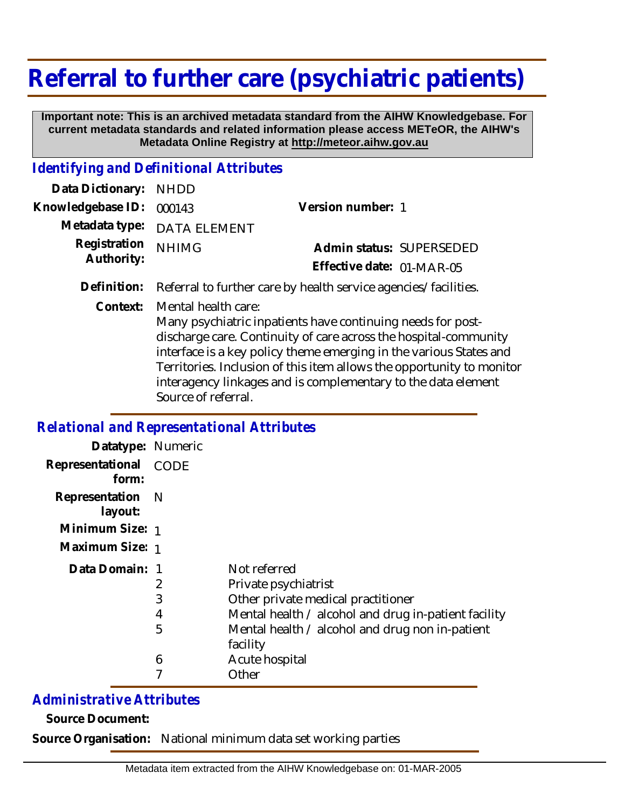## **Referral to further care (psychiatric patients)**

 **Important note: This is an archived metadata standard from the AIHW Knowledgebase. For current metadata standards and related information please access METeOR, the AIHW's Metadata Online Registry at http://meteor.aihw.gov.au**

## *Identifying and Definitional Attributes*

| Data Dictionary: NHDD      |                             |                           |  |
|----------------------------|-----------------------------|---------------------------|--|
| Knowledgebase ID: 000143   |                             | Version number: 1         |  |
|                            | Metadata type: DATA ELEMENT |                           |  |
| Registration<br>Authority: | <b>NHIMG</b>                | Admin status: SUPERSEDED  |  |
|                            |                             | Effective date: 01-MAR-05 |  |
|                            |                             |                           |  |

**Definition:** Referral to further care by health service agencies/facilities.

Mental health care: **Context:**

> Many psychiatric inpatients have continuing needs for postdischarge care. Continuity of care across the hospital-community interface is a key policy theme emerging in the various States and Territories. Inclusion of this item allows the opportunity to monitor interagency linkages and is complementary to the data element Source of referral.

## *Relational and Representational Attributes*

| Datatype: Numeric           |      |                                                             |
|-----------------------------|------|-------------------------------------------------------------|
| Representational<br>form:   | CODE |                                                             |
| Representation N<br>layout: |      |                                                             |
| Minimum Size: 1             |      |                                                             |
| Maximum Size: 1             |      |                                                             |
| Data Domain: 1              |      | Not referred                                                |
|                             | 2    | Private psychiatrist                                        |
|                             | 3    | Other private medical practitioner                          |
|                             | 4    | Mental health / alcohol and drug in-patient facility        |
|                             | 5    | Mental health / alcohol and drug non in-patient<br>facility |
|                             | 6    | Acute hospital                                              |
|                             |      | Other                                                       |

## *Administrative Attributes*

**Source Document:**

**Source Organisation:** National minimum data set working parties